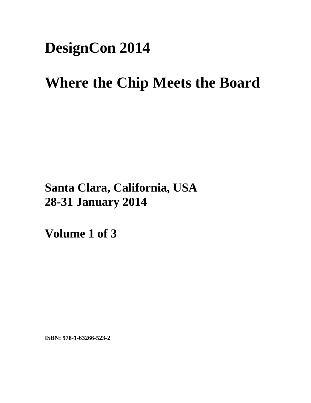## **DesignCon 2014**

# **Where the Chip Meets the Board**

**Santa Clara, California, USA 28-31 January 2014**

**Volume 1 of 3** 

**ISBN: 978-1-63266-523-2**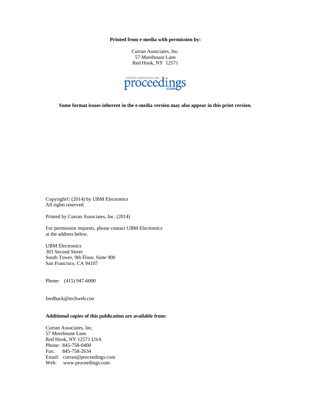**Printed from e-media with permission by:** 

Curran Associates, Inc. 57 Morehouse Lane Red Hook, NY 12571



**Some format issues inherent in the e-media version may also appear in this print version.** 

Copyright© (2014) by UBM Electronics All rights reserved.

Printed by Curran Associates, Inc. (2014)

For permission requests, please contact UBM Electronics at the address below.

UBM Electronics 303 Second Street South Tower, 9th Floor, Suite 900 San Francisco, CA 94107

Phone: (415) 947-6000

feedback@techweb.con

### **Additional copies of this publication are available from:**

Curran Associates, Inc. 57 Morehouse Lane Red Hook, NY 12571 USA Phone: 845-758-0400 Fax: 845-758-2634 Email: curran@proceedings.com Web: www.proceedings.com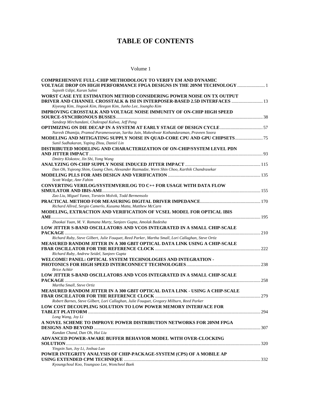## **TABLE OF CONTENTS**

Volume 1

| <b>COMPREHENSIVE FULL-CHIP METHODOLOGY TO VERIFY EM AND DYNAMIC</b>                                |  |
|----------------------------------------------------------------------------------------------------|--|
| VOLTAGE DROP ON HIGH PERFORMANCE FPGA DESIGNS IN THE 20NM TECHNOLOGY  1                            |  |
| Sujeeth Udipi, Karan Sahni                                                                         |  |
| WORST CASE EYE ESTIMATION METHOD CONSIDERING POWER NOISE ON TX OUTPUT                              |  |
| DRIVER AND CHANNEL CROSSTALK & ISI IN INTERPOSER-BASED 2.5D INTERFACES  13                         |  |
| Kiyeong Kim, Jingook Kim, Heegon Kim, Junho Lee, Joungho Kim                                       |  |
| IMPROVING CROSSTALK AND VOLTAGE NOISE IMMUNITY OF ON-CHIP HIGH SPEED                               |  |
|                                                                                                    |  |
| Sandeep Mirchandani, Chakrapal Kalwa, Jeff Peng                                                    |  |
| <b>OPTIMIZING ON DIE DECAP IN A SYSTEM AT EARLY STAGE OF DESIGN CYCLE </b> 57                      |  |
| Naresh Dhamija, Pramod Parameswaran, Sarika Jain, Makeshwar Kothandaraman, Praveen Soora           |  |
| MODELING AND MITIGATING SUPPLY NOISE IN QUAD-CORE CPU AND GPU CHIPSETS 75                          |  |
| Sunil Sudhakaran, Yaping Zhou, Daniel Lin                                                          |  |
| DISTRIBUTED MODELING AND CHARACTERIZATION OF ON-CHIP/SYSTEM LEVEL PDN                              |  |
|                                                                                                    |  |
| Dmitry Klokotov, Jin Shi, Yong Wang                                                                |  |
|                                                                                                    |  |
| Dan Oh, Yujeong Shim, Guang Chen, Alexander Razmadze, Wern Shin Choo, Karthik Chandrasekar         |  |
|                                                                                                    |  |
| Scott Wedge, Amr Fahim                                                                             |  |
| <b>CONVERTING VERILOG/SYSTEMVERILOG TO C++ FOR USAGE WITH DATA FLOW</b>                            |  |
|                                                                                                    |  |
| Zao Liu, Miguel Yanez, Torstein Molvik, Todd Bermensolo                                            |  |
|                                                                                                    |  |
|                                                                                                    |  |
| Richard Allred, Sergio Camerlo, Kusuma Matta, Matthew McCarn                                       |  |
| MODELING, EXTRACTION AND VERIFICATION OF VCSEL MODEL FOR OPTICAL IBIS                              |  |
|                                                                                                    |  |
| Zhaokai Yuan, M. V. Ramana Murty, Sanjeev Gupta, Amolak Badesha                                    |  |
| LOW JITTER S-BAND OSCILLATORS AND VCOS INTEGRATED IN A SMALL CHIP-SCALE                            |  |
|                                                                                                    |  |
| Richard Ruby, Steve Gilbert, Julie Fouquet, Reed Parker, Martha Small, Lori Callaghan, Steve Ortiz |  |
| MEASURED RANDOM JITTER IN A 300 GBIT OPTICAL DATA LINK USING A CHIP-SCALE                          |  |
|                                                                                                    |  |
| Richard Ruby, Andrew Seidel, Sanjeev Gupta                                                         |  |
| WELCOME! PANEL: OPTICAL SYSTEM TECHNOLOGIES AND INTEGRATION -                                      |  |
|                                                                                                    |  |
| <b>Brice Achkir</b>                                                                                |  |
| LOW JITTER S-BAND OSCILLATORS AND VCOS INTEGRATED IN A SMALL CHIP-SCALE                            |  |
|                                                                                                    |  |
| Martha Small, Steve Ortiz                                                                          |  |
| MEASURED RANDOM JITTER IN A 300 GBIT OPTICAL DATA LINK - USING A CHIP-SCALE                        |  |
|                                                                                                    |  |
| Robert Barnes, Steve Gilbert, Lori Callaghan, Julie Fouquet, Gregory Milburn, Reed Parker          |  |
| LOW COST DECOUPLING SOLUTION TO LOW POWER MEMORY INTERFACE FOR                                     |  |
|                                                                                                    |  |
| Long Wang, Joy Li                                                                                  |  |
| A NOVEL SCHEME TO IMPROVE POWER DISTRIBUTION NETWORKS FOR 20NM FPGA                                |  |
|                                                                                                    |  |
| Kundan Chand, Dan Oh, Hui Liu                                                                      |  |
| ADVANCED POWER-AWARE BUFFER BEHAVIOR MODEL WITH OVER-CLOCKING                                      |  |
|                                                                                                    |  |
| Yingxin Sun, Joy Li, Joshua Luo                                                                    |  |
| POWER INTEGRITY ANALYSIS OF CHIP-PACKAGE-SYSTEM (CPS) OF A MOBILE AP                               |  |
|                                                                                                    |  |
| Kyoungchoul Koo, Youngsoo Lee, Woncheol Baek                                                       |  |
|                                                                                                    |  |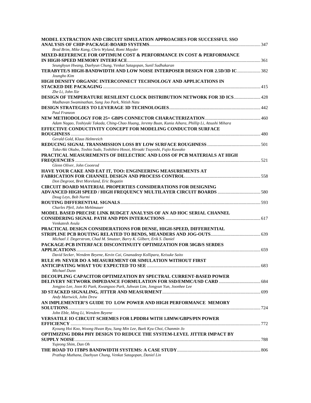| MODEL EXTRACTION AND CIRCUIT SIMULATION APPROACHES FOR SUCCESSFUL SSO                                 |  |
|-------------------------------------------------------------------------------------------------------|--|
|                                                                                                       |  |
| Brad Brim, Mike Kang, Chris Wyland, Romi Mayder                                                       |  |
| MIXED-REFERENCE FOR OPTIMUM COST & PERFORMANCE IN COST & PERFORMANCE                                  |  |
|                                                                                                       |  |
| Seunghyun Hwang, Daehyun Chung, Venkat Satagopan, Sunil Sudhakaran                                    |  |
| TERABYTE/S HIGH-BANDWIDTH AND LOW NOISE INTERPOSER DESIGN FOR 2.5D/3D IC  382<br>Joungho Kim          |  |
| HIGH DENSITY ORGANIC INTERCONNECT TECHNOLOGY AND APPLICATIONS IN                                      |  |
|                                                                                                       |  |
| Zhe Li, John Xie                                                                                      |  |
| DESIGN OF TEMPERATURE RESILIENT CLOCK DISTRIBUTION NETWORK FOR 3D ICS 428                             |  |
| Madhavan Swaminathan, Sung Joo Park, Nitish Natu                                                      |  |
|                                                                                                       |  |
| Paul Franzon                                                                                          |  |
|                                                                                                       |  |
| Adam Nagao, Toshiyuki Takada, Ching-Chao Huang, Jeremy Buan, Kunia Aihara, Phillip Li, Atsushi Mihara |  |
| EFFECTIVE CONDUCTIVITY CONCEPT FOR MODELING CONDUCTOR SURFACE                                         |  |
|                                                                                                       |  |
| Gerald Gold, Klaus Helmreich                                                                          |  |
|                                                                                                       |  |
| Taka-Aki Okubo, Toshio Sudo, Toshihiro Hosoi, Hiroaki Tsuyoshi, Fujio Kuwako                          |  |
| PRACTICAL MEASUREMENTS OF DIELECTRIC AND LOSS OF PCB MATERIALS AT HIGH                                |  |
|                                                                                                       |  |
| Glenn Oliver, John Coonrod                                                                            |  |
| HAVE YOUR CAKE AND EAT IT, TOO: ENGINEERING MEASUREMENTS AT                                           |  |
|                                                                                                       |  |
| Don Degroot, Bret Moreland, Eric Bogatin                                                              |  |
| <b>CIRCUIT BOARD MATERIAL PROPERTIES CONSIDERATIONS FOR DESIGNING</b>                                 |  |
|                                                                                                       |  |
| Doug Leys, Bob Nurmi                                                                                  |  |
| Charles Pfeil, John Mehlmauer                                                                         |  |
| MODEL BASED PRECISE LINK BUDGET ANALYSIS OF AN AD HOC SERIAL CHANNEL                                  |  |
|                                                                                                       |  |
| Venkatesh Avula                                                                                       |  |
| PRACTICAL DESIGN CONSIDERATIONS FOR DENSE, HIGH-SPEED, DIFFERENTIAL                                   |  |
|                                                                                                       |  |
| Michael J. Degerstrom, Chad M. Smutzer, Barry K. Gilbert, Erik S. Daniel                              |  |
| PACKAGE-PCB INTERFACE DISCONTINUITY OPTIMIZATION FOR 50GB/S SERDES                                    |  |
|                                                                                                       |  |
| David Secker, Wendem Beyene, Kevin Cai, Gnanadeep Kollipara, Keisuke Saito                            |  |
| <b>RULE #9: NEVER DO A MEASUREMENT OR SIMULATION WITHOUT FIRST</b>                                    |  |
|                                                                                                       |  |
| Michael Dunn                                                                                          |  |
| DECOUPLING CAPACITOR OPTIMIZATION BY SPECTRAL CURRENT-BASED POWER                                     |  |
|                                                                                                       |  |
| Jongjoo Lee, Joon Ki Paek, Kwangsoo Park, Juhwan Lim, Jongyun Yun, Joonhee Lee                        |  |
|                                                                                                       |  |
| Andy Martwick, John Drew                                                                              |  |
| AN IMPLEMENTER'S GUIDE TO LOW POWER AND HIGH PERFORMANCE MEMORY                                       |  |
|                                                                                                       |  |
| John Eble, Ming Li, Wendem Beyene                                                                     |  |
| <b>VERSATILE IO CIRCUIT SCHEMES FOR LPDDR4 WITH 1.8MW/GBPS/PIN POWER</b>                              |  |
| Kyoung Hoi Koo, Woong Hwan Ryu, Sang Min Lee, Baek Kyu Choi, Chanmin Jo                               |  |
| OPTIMIZING DDR4 PHY DESIGN TO REDUCE THE SYSTEM-LEVEL JITTER IMPACT BY                                |  |
|                                                                                                       |  |
| Yujeong Shim, Dan Oh                                                                                  |  |
|                                                                                                       |  |
| Prathap Muthana, Daehyun Chung, Venkat Satagopan, Daniel Lin                                          |  |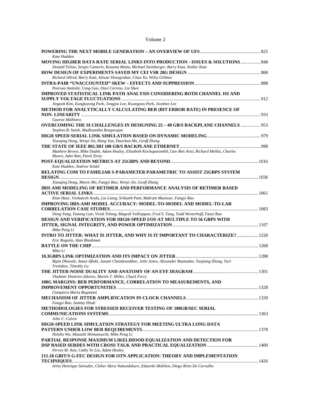### Volume 2

| Kate Hadden                                                                                                                                                                            |  |
|----------------------------------------------------------------------------------------------------------------------------------------------------------------------------------------|--|
| <b>MOVING HIGHER DATA RATE SERIAL LINKS INTO PRODUCTION - ISSUES &amp; SOLUTIONS  848</b><br>Donald Telian, Sergio Camerlo, Kusuma Matta, Michael Steinberger, Barry Katz, Walter Katz |  |
|                                                                                                                                                                                        |  |
| Richard Allred, Barry Katz, Ishwar Hosagrahar, Chao Xu, Wiley Gillmor                                                                                                                  |  |
|                                                                                                                                                                                        |  |
| Peerouz Amleshi, Cong Gao, Davi Correia, Lin Shen                                                                                                                                      |  |
| IMPROVED STATISTICAL LINK PATH ANALYSIS CONSIDERING BOTH CHANNEL ISI AND                                                                                                               |  |
|                                                                                                                                                                                        |  |
| Jingook Kim, Eungkyeong Park, Jongjoo Lee, Kwangsoo Park, Joonhee Lee                                                                                                                  |  |
| METHOD FOR ANALYTICALLY CALCULATING BER (BIT ERROR RATE) IN PRESENCE OF                                                                                                                |  |
|                                                                                                                                                                                        |  |
| Gauray Malhotra                                                                                                                                                                        |  |
| OVERCOMING THE SI CHALLENGES IN DESIGNING 25 - 40 GB/S BACKPLANE CHANNELS  953                                                                                                         |  |
| Stephen B. Smith, Madhumitha Rengarajan                                                                                                                                                |  |
|                                                                                                                                                                                        |  |
| Xiaoqing Dong, Wenyi Jin, Hang Yan, Daochun Mo, Geoff Zhang                                                                                                                            |  |
|                                                                                                                                                                                        |  |
| Matthew Brown, Mike Dudek, Adam Healey, Elizabeth Kochuparambil, Liav Ben Artsi, Richard Mellitz, Charles                                                                              |  |
| Moore, Adee Ran, Pavel Zivny                                                                                                                                                           |  |
|                                                                                                                                                                                        |  |
| Kate Hadden, Andrew Seidel                                                                                                                                                             |  |
| <b>RELATING COM TO FAMILIAR S-PARAMETER PARAMETRIC TO ASSIST 25GBPS SYSTEM</b>                                                                                                         |  |
|                                                                                                                                                                                        |  |
| Xiaoqing Dong, Moore Mo, Fangyi Rao, Wenyi Jin, Geoff Zhang                                                                                                                            |  |
| IBIS AMI MODELING OF RETIMER AND PERFORMANCE ANALYSIS OF RETIMER BASED                                                                                                                 |  |
|                                                                                                                                                                                        |  |
| Kian Haur, Venkatesh Avula, Liu Liang, Srikanth Pam, Makram Mansour, Fangyi Rao                                                                                                        |  |
| IMPROVING IBIS-AMI MODEL ACCURACY: MODEL-TO-MODEL AND MODEL-TO-LAB                                                                                                                     |  |
|                                                                                                                                                                                        |  |
| Dong Yang, Yunong Gan, Vivek Telang, Magesh Valliappan, Fred S. Tang, Todd Westerhoff, Fanyi Rao                                                                                       |  |
| <b>DESIGN AND VERIFICATION FOR HIGH-SPEED I/OS AT MULTIPLE TO 56 GBPS WITH</b>                                                                                                         |  |
|                                                                                                                                                                                        |  |
| Mike Peng Li                                                                                                                                                                           |  |
| INTRO TO JITTER: WHAT IS JITTER, AND WHY IS IT IMPORTANT TO CHARACTERIZE?  1220<br>Eric Bogatin, Alan Blankman                                                                         |  |
|                                                                                                                                                                                        |  |
| Mike Li                                                                                                                                                                                |  |
|                                                                                                                                                                                        |  |
| Bipin Dhavale, Aman Aflaki, Janani Chandrasekhar, John Jones, Alexander Razmadze, Yaojiang Zhang, Yuri                                                                                 |  |
| Tretiakov, Timothy Lu                                                                                                                                                                  |  |
|                                                                                                                                                                                        |  |
| Vladimir Dmitriev-Zdorov, Martin T. Miller, Chuck Ferry                                                                                                                                |  |
| 100G MARGINS: BER PERFORMANCE, CORRELATION TO MEASUREMENTS, AND                                                                                                                        |  |
|                                                                                                                                                                                        |  |
| Gianpiero Maria Bognanni                                                                                                                                                               |  |
|                                                                                                                                                                                        |  |
| Fangyi Rao, Sammy Hindi                                                                                                                                                                |  |
| <b>METHODOLOGIES FOR STRESSED RECEIVER TESTING OF 100GB/SEC SERIAL</b>                                                                                                                 |  |
|                                                                                                                                                                                        |  |
| John C. Calvin                                                                                                                                                                         |  |
| HIGH-SPEED LINK SIMULATION STRATEGY FOR MEETING ULTRA LONG DATA                                                                                                                        |  |
|                                                                                                                                                                                        |  |
| Hsinho Wu, Masashi Shimanouchi, Mike Peng Li                                                                                                                                           |  |
| PARTIAL RESPONSE MAXIMUM LIKELIHOOD EQUALIZATION AND DETECTION FOR                                                                                                                     |  |
|                                                                                                                                                                                        |  |
| Pervez M. Aziz, Cathy Ye Liu, Adam Healey                                                                                                                                              |  |
| 111.18 GBIT/S G-FEC DESIGN FOR OTN APPLICATION: THEORY AND IMPLEMENTATION                                                                                                              |  |
|                                                                                                                                                                                        |  |
| Arley Henrique Salvador, Cleber Akira Nakandakare, Eduardo Mobilon, Diego Brito De Carvalho                                                                                            |  |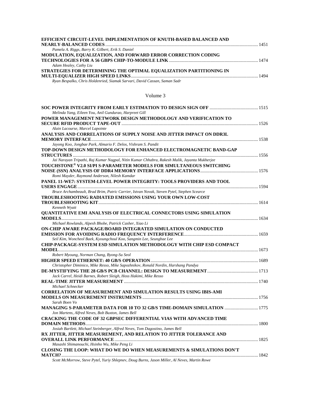| <b>EFFICIENT CIRCUIT-LEVEL IMPLEMENTATION OF KNUTH-BASED BALANCED AND</b> |  |
|---------------------------------------------------------------------------|--|
| Pamela A. Riggs, Barry K. Gilbert, Erik S. Daniel                         |  |
| MODULATION, EQUALIZATION, AND FORWARD ERROR CORRECTION CODING             |  |
|                                                                           |  |
| Adam Healey, Cathy Liu                                                    |  |
| STRATEGIES FOR DETERMINING THE OPTIMAL EQUALIZATION PARTITIONING IN       |  |
|                                                                           |  |
| Ryan Bespalko, Chris Holdenried, Siamak Sarvari, David Cassan, Saman Sadr |  |

#### Volume 3

| Melinda Yang, Eileen You, Anil Gundurao, Harpreet Gill                                       |  |
|----------------------------------------------------------------------------------------------|--|
| POWER MANAGEMENT NETWORK DESIGN METHODOLOGY AND VERIFICATION TO                              |  |
|                                                                                              |  |
| Alain Lacourse, Marcel Lapointe                                                              |  |
| ANALYSIS AND CORRELATIONS OF SUPPLY NOISE AND JITTER IMPACT ON DDR3L                         |  |
|                                                                                              |  |
| Jayong Koo, Jongbae Park, Almario F. Delos, Vishram S. Pandit                                |  |
| TOP-DOWN DESIGN METHODOLOGY FOR ENHANCED ELECTROMAGNETIC BAND-GAP                            |  |
|                                                                                              |  |
| Jai Narayan Tripathi, Raj Kumar Nagpal, Nitin Kumar Chhabra, Rakesh Malik, Jayanta Mukherjee |  |
| TOUCHSTONE® V2.0 SI/PI S-PARAMETER MODELS FOR SIMULTANEOUS SWITCHING                         |  |
|                                                                                              |  |
| Romi Mayder, Raymond Anderson, Nilesh Kamdar                                                 |  |
| PANEL 11-WE7: SYSTEM-LEVEL POWER INTEGRITY: TOOLS PROVIDERS AND TOOL                         |  |
|                                                                                              |  |
| Bruce Archambeault, Brad Brim, Patric Carrier, Istvan Novak, Steven Pytel, Stephen Scearce   |  |
| TROUBLESHOOTING RADIATED EMISSIONS USING YOUR OWN LOW-COST                                   |  |
|                                                                                              |  |
| Kenneth Wyatt                                                                                |  |
| QUANTITATIVE EMI ANALYSIS OF ELECTRICAL CONNECTORS USING SIMULATION                          |  |
|                                                                                              |  |
| Michael Rowlands, Alpesh Bhobe, Patrick Casher, Xiao Li                                      |  |
| ON-CHIP AWARE PACKAGE/BOARD INTEGRATED SIMULATION ON CONDUCTED                               |  |
|                                                                                              |  |
| Seil Kim, Woncheol Baek, Kyoungchoul Koo, Sangmin Lee, Seungbae Lee                          |  |
| <b>CHIP-PACKAGE-SYSTEM ESD SIMULATION METHODOLOGY WITH CHIP ESD COMPACT</b>                  |  |
|                                                                                              |  |
| Robert Myoung, Norman Chang, Byong-Su Seol                                                   |  |
|                                                                                              |  |
| Christopher Diminico, Mike Resso, Mike Sapozhnikov, Ronald Nordin, Harshang Pandya           |  |
|                                                                                              |  |
| Jack Carrel, Heidi Barnes, Robert Sleigh, Hoss Hakimi, Mike Resso                            |  |
|                                                                                              |  |
| Michael Schnecker                                                                            |  |
| <b>CORRELATION OF MEASUREMENT AND SIMULATION RESULTS USING IBIS-AMI</b>                      |  |
|                                                                                              |  |
| Sarah Boen Vo                                                                                |  |
| MANAGING S-PARAMETER DATA FOR 10 TO 32 GB/S TIME-DOMAIN SIMULATION  1775                     |  |
| Jon Martens, Alfred Neves, Bob Buxton, James Bell                                            |  |
| <b>CRACKING THE CODE OF 32 GBPSEC DIFFERENTIAL VIAS WITH ADVANCED TIME</b>                   |  |
|                                                                                              |  |
| Josiah Bartlett, Michael Steinberger, Alfred Neves, Tom Dagostino, James Bell                |  |
| RX JITTER, JITTER MEASUREMENT, AND RELATION TO JITTER TOLERANCE AND                          |  |
|                                                                                              |  |
| Masashi Shimanouchi, Hsinho Wu, Mike Peng Li                                                 |  |
| CLOSING THE LOOP: WHAT DO WE DO WHEN MEASUREMENTS & SIMULATIONS DON'T                        |  |
|                                                                                              |  |
| Scott McMorrow, Steve Pytel, Yuriy Shlepney, Doug Burns, Jason Miller, Al Neves, Martin Rowe |  |